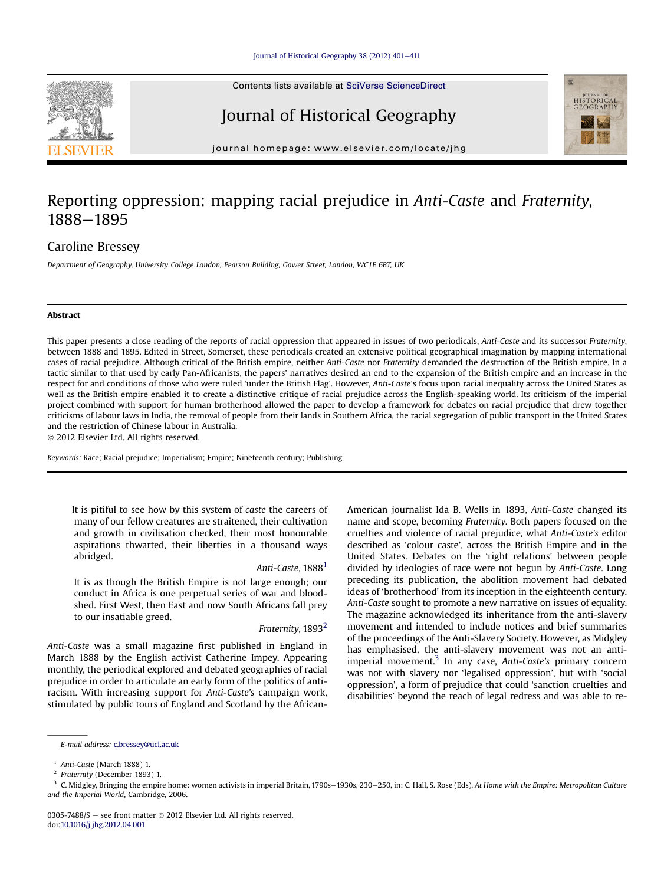

# Journal of Historical Geography



journal homepage: [www.elsevier.com/locate/jhg](http://www.elsevier.com/locate/jhg)

# Reporting oppression: mapping racial prejudice in Anti-Caste and Fraternity, 1888-1895

# Caroline Bressey

Department of Geography, University College London, Pearson Building, Gower Street, London, WC1E 6BT, UK

# Abstract

This paper presents a close reading of the reports of racial oppression that appeared in issues of two periodicals, Anti-Caste and its successor Fraternity, between 1888 and 1895. Edited in Street, Somerset, these periodicals created an extensive political geographical imagination by mapping international cases of racial prejudice. Although critical of the British empire, neither Anti-Caste nor Fraternity demanded the destruction of the British empire. In a tactic similar to that used by early Pan-Africanists, the papers' narratives desired an end to the expansion of the British empire and an increase in the respect for and conditions of those who were ruled 'under the British Flag'. However, Anti-Caste's focus upon racial inequality across the United States as well as the British empire enabled it to create a distinctive critique of racial prejudice across the English-speaking world. Its criticism of the imperial project combined with support for human brotherhood allowed the paper to develop a framework for debates on racial prejudice that drew together criticisms of labour laws in India, the removal of people from their lands in Southern Africa, the racial segregation of public transport in the United States and the restriction of Chinese labour in Australia.

2012 Elsevier Ltd. All rights reserved.

Keywords: Race; Racial prejudice; Imperialism; Empire; Nineteenth century; Publishing

It is pitiful to see how by this system of caste the careers of many of our fellow creatures are straitened, their cultivation and growth in civilisation checked, their most honourable aspirations thwarted, their liberties in a thousand ways abridged.

### Anti-Caste, 1888<sup>1</sup>

It is as though the British Empire is not large enough; our conduct in Africa is one perpetual series of war and bloodshed. First West, then East and now South Africans fall prey to our insatiable greed.

#### Fraternity, 1893<sup>2</sup>

Anti-Caste was a small magazine first published in England in March 1888 by the English activist Catherine Impey. Appearing monthly, the periodical explored and debated geographies of racial prejudice in order to articulate an early form of the politics of antiracism. With increasing support for Anti-Caste's campaign work, stimulated by public tours of England and Scotland by the AfricanAmerican journalist Ida B. Wells in 1893, Anti-Caste changed its name and scope, becoming Fraternity. Both papers focused on the cruelties and violence of racial prejudice, what Anti-Caste's editor described as 'colour caste', across the British Empire and in the United States. Debates on the 'right relations' between people divided by ideologies of race were not begun by Anti-Caste. Long preceding its publication, the abolition movement had debated ideas of 'brotherhood' from its inception in the eighteenth century. Anti-Caste sought to promote a new narrative on issues of equality. The magazine acknowledged its inheritance from the anti-slavery movement and intended to include notices and brief summaries of the proceedings of the Anti-Slavery Society. However, as Midgley has emphasised, the anti-slavery movement was not an antiimperial movement. $3$  In any case, Anti-Caste's primary concern was not with slavery nor 'legalised oppression', but with 'social oppression', a form of prejudice that could 'sanction cruelties and disabilities' beyond the reach of legal redress and was able to re-

E-mail address: [c.bressey@ucl.ac.uk](mailto:c.bressey@ucl.ac.uk)

<sup>&</sup>lt;sup>1</sup> Anti-Caste (March 1888) 1.<br><sup>2</sup> Ergternity (December 1893)

<sup>2</sup> Fraternity (December 1893) 1.

C. Midgley, Bringing the empire home: women activists in imperial Britain, 1790s-1930s, 230-250, in: C. Hall, S. Rose (Eds), At Home with the Empire: Metropolitan Culture and the Imperial World, Cambridge, 2006.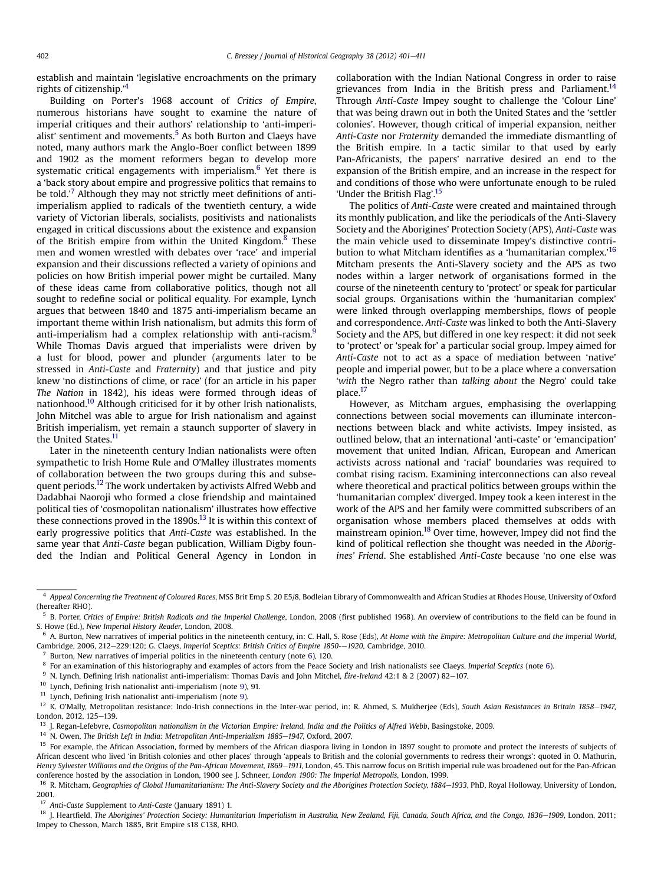<span id="page-1-0"></span>establish and maintain 'legislative encroachments on the primary rights of citizenship.'<sup>4</sup>

Building on Porter's 1968 account of Critics of Empire, numerous historians have sought to examine the nature of imperial critiques and their authors' relationship to 'anti-imperialist' sentiment and movements. $5$  As both Burton and Claeys have noted, many authors mark the Anglo-Boer conflict between 1899 and 1902 as the moment reformers began to develop more systematic critical engagements with imperialism.<sup>6</sup> Yet there is a 'back story about empire and progressive politics that remains to be told.<sup>,7</sup> Although they may not strictly meet definitions of antiimperialism applied to radicals of the twentieth century, a wide variety of Victorian liberals, socialists, positivists and nationalists engaged in critical discussions about the existence and expansion of the British empire from within the United Kingdom. $8$  These men and women wrestled with debates over 'race' and imperial expansion and their discussions reflected a variety of opinions and policies on how British imperial power might be curtailed. Many of these ideas came from collaborative politics, though not all sought to redefine social or political equality. For example, Lynch argues that between 1840 and 1875 anti-imperialism became an important theme within Irish nationalism, but admits this form of anti-imperialism had a complex relationship with anti-racism.<sup>9</sup> While Thomas Davis argued that imperialists were driven by a lust for blood, power and plunder (arguments later to be stressed in Anti-Caste and Fraternity) and that justice and pity knew 'no distinctions of clime, or race' (for an article in his paper The Nation in 1842), his ideas were formed through ideas of nationhood.10 Although criticised for it by other Irish nationalists, John Mitchel was able to argue for Irish nationalism and against British imperialism, yet remain a staunch supporter of slavery in the United States.<sup>11</sup>

Later in the nineteenth century Indian nationalists were often sympathetic to Irish Home Rule and O'Malley illustrates moments of collaboration between the two groups during this and subsequent periods.12 The work undertaken by activists Alfred Webb and Dadabhai Naoroji who formed a close friendship and maintained political ties of 'cosmopolitan nationalism' illustrates how effective these connections proved in the  $1890s$ .<sup>13</sup> It is within this context of early progressive politics that Anti-Caste was established. In the same year that Anti-Caste began publication, William Digby founded the Indian and Political General Agency in London in collaboration with the Indian National Congress in order to raise grievances from India in the British press and Parliament.<sup>14</sup> Through Anti-Caste Impey sought to challenge the 'Colour Line' that was being drawn out in both the United States and the 'settler colonies'. However, though critical of imperial expansion, neither Anti-Caste nor Fraternity demanded the immediate dismantling of the British empire. In a tactic similar to that used by early Pan-Africanists, the papers' narrative desired an end to the expansion of the British empire, and an increase in the respect for and conditions of those who were unfortunate enough to be ruled 'Under the British Flag'.<sup>15</sup>

The politics of Anti-Caste were created and maintained through its monthly publication, and like the periodicals of the Anti-Slavery Society and the Aborigines' Protection Society (APS), Anti-Caste was the main vehicle used to disseminate Impey's distinctive contribution to what Mitcham identifies as a 'humanitarian complex.' 16 Mitcham presents the Anti-Slavery society and the APS as two nodes within a larger network of organisations formed in the course of the nineteenth century to 'protect' or speak for particular social groups. Organisations within the 'humanitarian complex' were linked through overlapping memberships, flows of people and correspondence. Anti-Caste was linked to both the Anti-Slavery Society and the APS, but differed in one key respect: it did not seek to 'protect' or 'speak for' a particular social group. Impey aimed for Anti-Caste not to act as a space of mediation between 'native' people and imperial power, but to be a place where a conversation 'with the Negro rather than talking about the Negro' could take place.17

However, as Mitcham argues, emphasising the overlapping connections between social movements can illuminate interconnections between black and white activists. Impey insisted, as outlined below, that an international 'anti-caste' or 'emancipation' movement that united Indian, African, European and American activists across national and 'racial' boundaries was required to combat rising racism. Examining interconnections can also reveal where theoretical and practical politics between groups within the 'humanitarian complex' diverged. Impey took a keen interest in the work of the APS and her family were committed subscribers of an organisation whose members placed themselves at odds with mainstream opinion.18 Over time, however, Impey did not find the kind of political reflection she thought was needed in the Aborigines' Friend. She established Anti-Caste because 'no one else was

 $^7$  Burton, New narratives of imperial politics in the nineteenth century (note 6), 120.

<sup>11</sup> Lynch, Defining Irish nationalist anti-imperialism (note 9).

17 Anti-Caste Supplement to Anti-Caste (January 1891) 1.

<sup>4</sup> Appeal Concerning the Treatment of Coloured Races, MSS Brit Emp S. 20 E5/8, Bodleian Library of Commonwealth and African Studies at Rhodes House, University of Oxford (hereafter RHO).

<sup>&</sup>lt;sup>5</sup> B. Porter, Critics of Empire: British Radicals and the Imperial Challenge, London, 2008 (first published 1968). An overview of contributions to the field can be found in S. Howe (Ed.), New Imperial History Reader, London, 2008.

 $6$  A. Burton, New narratives of imperial politics in the nineteenth century, in: C. Hall, S. Rose (Eds), At Home with the Empire: Metropolitan Culture and the Imperial World, Cambridge, 2006, 212-229:120; G. Claeys, Imperial Sceptics: British Critics of Empire 1850--1920, Cambridge, 2010.

<sup>&</sup>lt;sup>8</sup> For an examination of this historiography and examples of actors from the Peace Society and Irish nationalists see Claeys, Imperial Sceptics (note 6).

<sup>&</sup>lt;sup>9</sup> N. Lynch, Defining Irish nationalist anti-imperialism: Thomas Davis and John Mitchel, Éire-Ireland 42:1 & 2 (2007) 82-107.

<sup>10</sup> Lynch, Defining Irish nationalist anti-imperialism (note 9), 91.

<sup>&</sup>lt;sup>12</sup> K. O'Mally, Metropolitan resistance: Indo-Irish connections in the Inter-war period, in: R. Ahmed, S. Mukherjee (Eds), South Asian Resistances in Britain 1858-1947, London, 2012, 125-139.

<sup>&</sup>lt;sup>13</sup> J. Regan-Lefebvre, Cosmopolitan nationalism in the Victorian Empire: Ireland, India and the Politics of Alfred Webb, Basingstoke, 2009.

 $14$  N. Owen, The British Left in India: Metropolitan Anti-Imperialism 1885-1947, Oxford, 2007.

<sup>&</sup>lt;sup>15</sup> For example, the African Association, formed by members of the African diaspora living in London in 1897 sought to promote and protect the interests of subjects of African descent who lived 'in British colonies and other places' through 'appeals to British and the colonial governments to redress their wrongs': quoted in O. Mathurin, Henry Sylvester Williams and the Origins of the Pan-African Movement, 1869-1911, London, 45. This narrow focus on British imperial rule was broadened out for the Pan-African conference hosted by the association in London, 1900 see J. Schneer, London 1900: The Imperial Metropolis, London, 1999.

<sup>&</sup>lt;sup>16</sup> R. Mitcham, Geographies of Global Humanitarianism: The Anti-Slavery Society and the Aborigines Protection Society, 1884-1933, PhD, Royal Holloway, University of London, 2001.

<sup>&</sup>lt;sup>18</sup> J. Heartfield, The Aborigines' Protection Society: Humanitarian Imperialism in Australia, New Zealand, Fiji, Canada, South Africa, and the Congo, 1836–1909, London, 2011; Impey to Chesson, March 1885, Brit Empire s18 C138, RHO.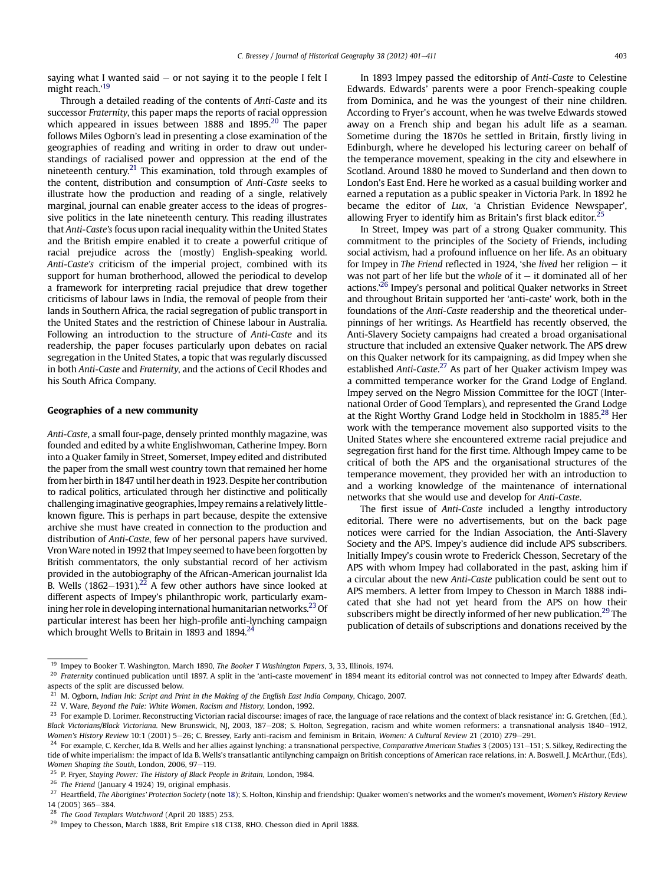<span id="page-2-0"></span>saying what I wanted said  $-$  or not saying it to the people I felt I might reach.'<sup>19</sup>

Through a detailed reading of the contents of Anti-Caste and its successor Fraternity, this paper maps the reports of racial oppression which appeared in issues between 1888 and 1895.<sup>20</sup> The paper follows Miles Ogborn's lead in presenting a close examination of the geographies of reading and writing in order to draw out understandings of racialised power and oppression at the end of the nineteenth century.<sup>21</sup> This examination, told through examples of the content, distribution and consumption of Anti-Caste seeks to illustrate how the production and reading of a single, relatively marginal, journal can enable greater access to the ideas of progressive politics in the late nineteenth century. This reading illustrates that Anti-Caste's focus upon racial inequality within the United States and the British empire enabled it to create a powerful critique of racial prejudice across the (mostly) English-speaking world. Anti-Caste's criticism of the imperial project, combined with its support for human brotherhood, allowed the periodical to develop a framework for interpreting racial prejudice that drew together criticisms of labour laws in India, the removal of people from their lands in Southern Africa, the racial segregation of public transport in the United States and the restriction of Chinese labour in Australia. Following an introduction to the structure of Anti-Caste and its readership, the paper focuses particularly upon debates on racial segregation in the United States, a topic that was regularly discussed in both Anti-Caste and Fraternity, and the actions of Cecil Rhodes and his South Africa Company.

# Geographies of a new community

Anti-Caste, a small four-page, densely printed monthly magazine, was founded and edited by a white Englishwoman, Catherine Impey. Born into a Quaker family in Street, Somerset, Impey edited and distributed the paper from the small west country town that remained her home from her birth in 1847 until her death in 1923. Despite her contribution to radical politics, articulated through her distinctive and politically challenging imaginative geographies, Impey remains a relatively littleknown figure. This is perhaps in part because, despite the extensive archive she must have created in connection to the production and distribution of Anti-Caste, few of her personal papers have survived. VronWare noted in 1992 that Impey seemed to have been forgotten by British commentators, the only substantial record of her activism provided in the autobiography of the African-American journalist Ida B. Wells  $(1862-1931).^{22}$  A few other authors have since looked at different aspects of Impey's philanthropic work, particularly examining her role in developing international humanitarian networks. $^{23}$  Of particular interest has been her high-profile anti-lynching campaign which brought Wells to Britain in 1893 and 1894.<sup>24</sup>

In 1893 Impey passed the editorship of Anti-Caste to Celestine Edwards. Edwards' parents were a poor French-speaking couple from Dominica, and he was the youngest of their nine children. According to Fryer's account, when he was twelve Edwards stowed away on a French ship and began his adult life as a seaman. Sometime during the 1870s he settled in Britain, firstly living in Edinburgh, where he developed his lecturing career on behalf of the temperance movement, speaking in the city and elsewhere in Scotland. Around 1880 he moved to Sunderland and then down to London's East End. Here he worked as a casual building worker and earned a reputation as a public speaker in Victoria Park. In 1892 he became the editor of Lux, 'a Christian Evidence Newspaper', allowing Fryer to identify him as Britain's first black editor. $25$ 

In Street, Impey was part of a strong Quaker community. This commitment to the principles of the Society of Friends, including social activism, had a profound influence on her life. As an obituary for Impey in The Friend reflected in 1924, 'she lived her religion  $-$  it was not part of her life but the whole of it  $-$  it dominated all of her actions.<sup>26</sup> Impey's personal and political Quaker networks in Street and throughout Britain supported her 'anti-caste' work, both in the foundations of the Anti-Caste readership and the theoretical underpinnings of her writings. As Heartfield has recently observed, the Anti-Slavery Society campaigns had created a broad organisational structure that included an extensive Quaker network. The APS drew on this Quaker network for its campaigning, as did Impey when she established Anti-Caste.<sup>27</sup> As part of her Quaker activism Impey was a committed temperance worker for the Grand Lodge of England. Impey served on the Negro Mission Committee for the IOGT (International Order of Good Templars), and represented the Grand Lodge at the Right Worthy Grand Lodge held in Stockholm in 1885.<sup>28</sup> Her work with the temperance movement also supported visits to the United States where she encountered extreme racial prejudice and segregation first hand for the first time. Although Impey came to be critical of both the APS and the organisational structures of the temperance movement, they provided her with an introduction to and a working knowledge of the maintenance of international networks that she would use and develop for Anti-Caste.

The first issue of Anti-Caste included a lengthy introductory editorial. There were no advertisements, but on the back page notices were carried for the Indian Association, the Anti-Slavery Society and the APS. Impey's audience did include APS subscribers. Initially Impey's cousin wrote to Frederick Chesson, Secretary of the APS with whom Impey had collaborated in the past, asking him if a circular about the new Anti-Caste publication could be sent out to APS members. A letter from Impey to Chesson in March 1888 indicated that she had not yet heard from the APS on how their subscribers might be directly informed of her new publication.<sup>29</sup> The publication of details of subscriptions and donations received by the

<sup>&</sup>lt;sup>19</sup> Impey to Booker T. Washington, March 1890, The Booker T Washington Papers, 3, 33, Illinois, 1974.

<sup>&</sup>lt;sup>20</sup> Fraternity continued publication until 1897. A split in the 'anti-caste movement' in 1894 meant its editorial control was not connected to Impey after Edwards' death, aspects of the split are discussed below.

<sup>21</sup> M. Ogborn, Indian Ink: Script and Print in the Making of the English East India Company, Chicago, 2007.

<sup>&</sup>lt;sup>22</sup> V. Ware, Bevond the Pale: White Women, Racism and History, London, 1992.

<sup>&</sup>lt;sup>23</sup> For example D. Lorimer. Reconstructing Victorian racial discourse: images of race, the language of race relations and the context of black resistance' in: G. Gretchen, (Ed.), Black Victorians/Black Victoriana. New Brunswick, NJ, 2003, 187-208; S. Holton, Segregation, racism and white women reformers: a transnational analysis 1840-1912, Women's History Review 10:1 (2001) 5-26; C. Bressey, Early anti-racism and feminism in Britain, Women: A Cultural Review 21 (2010) 279-291.

<sup>&</sup>lt;sup>24</sup> For example, C. Kercher, Ida B. Wells and her allies against lynching: a transnational perspective, Comparative American Studies 3 (2005) 131-151; S. Silkey, Redirecting the tide of white imperialism: the impact of Ida B. Wells's transatlantic antilynching campaign on British conceptions of American race relations, in: A. Boswell, J. McArthur, (Eds), Women Shaping the South, London, 2006, 97 $-119$ .

<sup>25</sup> P. Fryer, Staying Power: The History of Black People in Britain, London, 1984.

 $26$  The Friend (January 4 1924) 19, original emphasis.

<sup>&</sup>lt;sup>27</sup> Heartfield, The Aborigines' Protection Society (note [18](#page-1-0)); S. Holton, Kinship and friendship: Quaker women's networks and the women's movement, Women's History Review 14 (2005) 365-384.

<sup>28</sup> The Good Templars Watchword (April 20 1885) 253.

<sup>&</sup>lt;sup>29</sup> Impey to Chesson, March 1888, Brit Empire s18 C138, RHO. Chesson died in April 1888.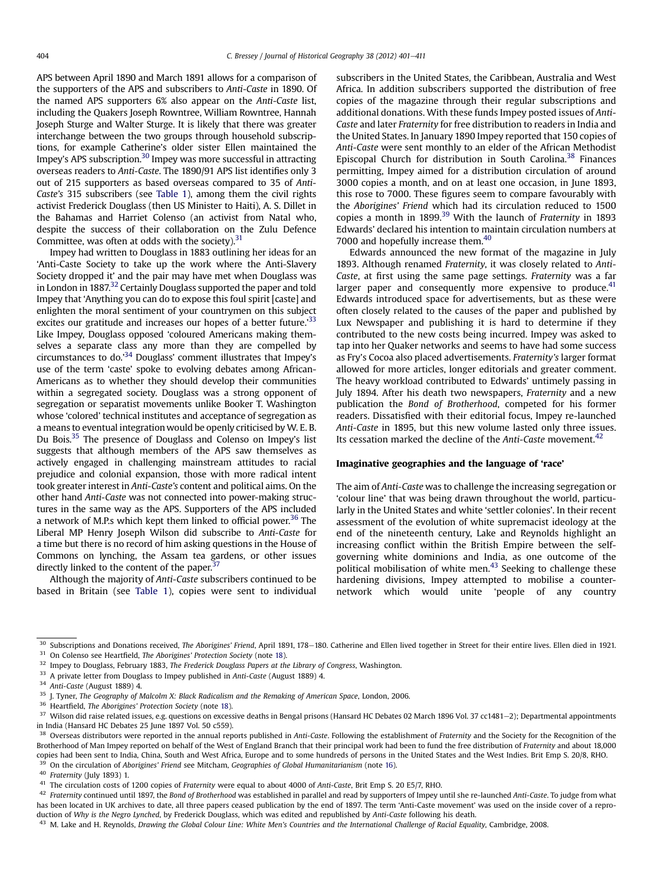APS between April 1890 and March 1891 allows for a comparison of the supporters of the APS and subscribers to Anti-Caste in 1890. Of the named APS supporters 6% also appear on the Anti-Caste list, including the Quakers Joseph Rowntree, William Rowntree, Hannah Joseph Sturge and Walter Sturge. It is likely that there was greater interchange between the two groups through household subscriptions, for example Catherine's older sister Ellen maintained the Impey's APS subscription.30 Impey was more successful in attracting overseas readers to Anti-Caste. The 1890/91 APS list identifies only 3 out of 215 supporters as based overseas compared to 35 of Anti-Caste's 315 subscribers (see [Table 1\)](#page-4-0), among them the civil rights activist Frederick Douglass (then US Minister to Haiti), A. S. Dillet in the Bahamas and Harriet Colenso (an activist from Natal who, despite the success of their collaboration on the Zulu Defence Committee, was often at odds with the society). $31$ 

Impey had written to Douglass in 1883 outlining her ideas for an 'Anti-Caste Society to take up the work where the Anti-Slavery Society dropped it' and the pair may have met when Douglass was in London in 1887.<sup>32</sup> Certainly Douglass supported the paper and told Impey that 'Anything you can do to expose this foul spirit [caste] and enlighten the moral sentiment of your countrymen on this subject excites our gratitude and increases our hopes of a better future.<sup>33</sup> Like Impey, Douglass opposed 'coloured Americans making themselves a separate class any more than they are compelled by circumstances to do.'<sup>34</sup> Douglass' comment illustrates that Impey's use of the term 'caste' spoke to evolving debates among African-Americans as to whether they should develop their communities within a segregated society. Douglass was a strong opponent of segregation or separatist movements unlike Booker T. Washington whose 'colored' technical institutes and acceptance of segregation as a means to eventual integration would be openly criticised by W. E. B. Du Bois.35 The presence of Douglass and Colenso on Impey's list suggests that although members of the APS saw themselves as actively engaged in challenging mainstream attitudes to racial prejudice and colonial expansion, those with more radical intent took greater interest in Anti-Caste's content and political aims. On the other hand Anti-Caste was not connected into power-making structures in the same way as the APS. Supporters of the APS included a network of M.P.s which kept them linked to official power.<sup>36</sup> The Liberal MP Henry Joseph Wilson did subscribe to Anti-Caste for a time but there is no record of him asking questions in the House of Commons on lynching, the Assam tea gardens, or other issues directly linked to the content of the paper.<sup>3</sup>

Although the majority of Anti-Caste subscribers continued to be based in Britain (see [Table 1\)](#page-4-0), copies were sent to individual subscribers in the United States, the Caribbean, Australia and West Africa. In addition subscribers supported the distribution of free copies of the magazine through their regular subscriptions and additional donations. With these funds Impey posted issues of Anti-Caste and later Fraternity for free distribution to readers in India and the United States. In January 1890 Impey reported that 150 copies of Anti-Caste were sent monthly to an elder of the African Methodist Episcopal Church for distribution in South Carolina.<sup>38</sup> Finances permitting, Impey aimed for a distribution circulation of around 3000 copies a month, and on at least one occasion, in June 1893, this rose to 7000. These figures seem to compare favourably with the Aborigines' Friend which had its circulation reduced to 1500 copies a month in 1899.<sup>39</sup> With the launch of *Fraternity* in 1893 Edwards' declared his intention to maintain circulation numbers at 7000 and hopefully increase them.<sup>40</sup>

Edwards announced the new format of the magazine in July 1893. Although renamed Fraternity, it was closely related to Anti-Caste, at first using the same page settings. Fraternity was a far larger paper and consequently more expensive to produce. $41$ Edwards introduced space for advertisements, but as these were often closely related to the causes of the paper and published by Lux Newspaper and publishing it is hard to determine if they contributed to the new costs being incurred. Impey was asked to tap into her Quaker networks and seems to have had some success as Fry's Cocoa also placed advertisements. Fraternity's larger format allowed for more articles, longer editorials and greater comment. The heavy workload contributed to Edwards' untimely passing in July 1894. After his death two newspapers, Fraternity and a new publication the Bond of Brotherhood, competed for his former readers. Dissatisfied with their editorial focus, Impey re-launched Anti-Caste in 1895, but this new volume lasted only three issues. Its cessation marked the decline of the Anti-Caste movement.<sup>42</sup>

#### Imaginative geographies and the language of 'race'

The aim of Anti-Caste was to challenge the increasing segregation or 'colour line' that was being drawn throughout the world, particularly in the United States and white 'settler colonies'. In their recent assessment of the evolution of white supremacist ideology at the end of the nineteenth century, Lake and Reynolds highlight an increasing conflict within the British Empire between the selfgoverning white dominions and India, as one outcome of the political mobilisation of white men. $43$  Seeking to challenge these hardening divisions, Impey attempted to mobilise a counternetwork which would unite 'people of any country

<sup>33</sup> A private letter from Douglass to Impey published in Anti-Caste (August 1889) 4.

<sup>36</sup> Heartfield, *The Aborigines' Protection Society* (note [18](#page-1-0)).

On the circulation of Aborigines' Friend see Mitcham, Geographies of Global Humanitarianism (note [16\)](#page-1-0).

<sup>40</sup> Fraternity (July 1893) 1.

<sup>&</sup>lt;sup>30</sup> Subscriptions and Donations received, The Aborigines' Friend, April 1891, 178-180. Catherine and Ellen lived together in Street for their entire lives. Ellen died in 1921.  $31$  On Colenso see Heartfield, The Aborigines' Protection Society (note [18\)](#page-1-0).

<sup>&</sup>lt;sup>32</sup> Impey to Douglass, February 1883, The Frederick Douglass Papers at the Library of Congress, Washington.

<sup>34</sup> Anti-Caste (August 1889) 4.

<sup>&</sup>lt;sup>35</sup> J. Tyner, The Geography of Malcolm X: Black Radicalism and the Remaking of American Space, London, 2006.

<sup>&</sup>lt;sup>37</sup> Wilson did raise related issues, e.g. questions on excessive deaths in Bengal prisons (Hansard HC Debates 02 March 1896 Vol. 37 cc1481-2); Departmental appointments in India (Hansard HC Debates 25 June 1897 Vol. 50 c559).

<sup>&</sup>lt;sup>38</sup> Overseas distributors were reported in the annual reports published in Anti-Caste. Following the establishment of Fraternity and the Society for the Recognition of the Brotherhood of Man Impey reported on behalf of the West of England Branch that their principal work had been to fund the free distribution of Fraternity and about 18,000 copies had been sent to India, China, South and West Africa, Europe and to some hundreds of persons in the United States and the West Indies. Brit Emp S. 20/8, RHO.

<sup>&</sup>lt;sup>41</sup> The circulation costs of 1200 copies of Fraternity were equal to about 4000 of Anti-Caste, Brit Emp S. 20 E5/7, RHO.

<sup>&</sup>lt;sup>42</sup> Fraternity continued until 1897, the Bond of Brotherhood was established in parallel and read by supporters of Impey until she re-launched Anti-Caste. To judge from what has been located in UK archives to date, all three papers ceased publication by the end of 1897. The term 'Anti-Caste movement' was used on the inside cover of a reproduction of Why is the Negro Lynched, by Frederick Douglass, which was edited and republished by Anti-Caste following his death.

<sup>&</sup>lt;sup>43</sup> M. Lake and H. Reynolds, Drawing the Global Colour Line: White Men's Countries and the International Challenge of Racial Equality, Cambridge, 2008.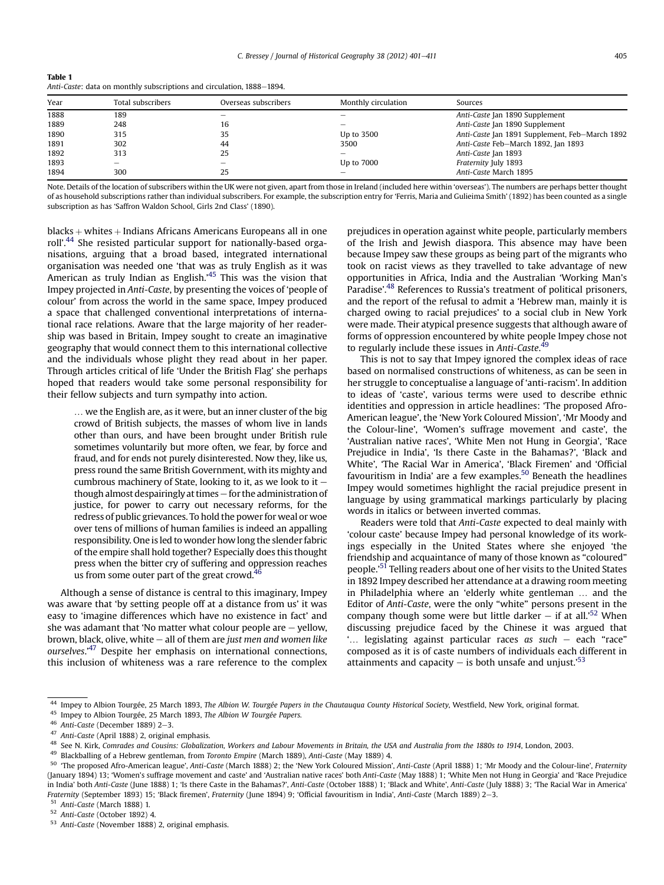<span id="page-4-0"></span>

| Anti-Caste: data on monthly subscriptions and circulation, 1888-1894. |  |
|-----------------------------------------------------------------------|--|
|-----------------------------------------------------------------------|--|

| Year | Total subscribers | Overseas subscribers     | Monthly circulation | Sources                                        |
|------|-------------------|--------------------------|---------------------|------------------------------------------------|
| 1888 | 189               |                          |                     | Anti-Caste Jan 1890 Supplement                 |
| 1889 | 248               | 16                       |                     | Anti-Caste Jan 1890 Supplement                 |
| 1890 | 315               | 35                       | Up to 3500          | Anti-Caste Jan 1891 Supplement, Feb-March 1892 |
| 1891 | 302               | 44                       | 3500                | Anti-Caste Feb-March 1892, Jan 1893            |
| 1892 | 313               | 25                       |                     | Anti-Caste Jan 1893                            |
| 1893 | -                 | $\overline{\phantom{a}}$ | Up to 7000          | Fraternity July 1893                           |
| 1894 | 300               | 25                       |                     | Anti-Caste March 1895                          |

Note. Details of the location of subscribers within the UK were not given, apart from those in Ireland (included here within 'overseas'). The numbers are perhaps better thought of as household subscriptions rather than individual subscribers. For example, the subscription entry for 'Ferris, Maria and Gulieima Smith' (1892) has been counted as a single subscription as has 'Saffron Waldon School, Girls 2nd Class' (1890).

 $blacks + whites + Indians$  Africans Americans Europeans all in one roll'.<sup>44</sup> She resisted particular support for nationally-based organisations, arguing that a broad based, integrated international organisation was needed one 'that was as truly English as it was American as truly Indian as English.' <sup>45</sup> This was the vision that Impey projected in Anti-Caste, by presenting the voices of 'people of colour' from across the world in the same space, Impey produced a space that challenged conventional interpretations of international race relations. Aware that the large majority of her readership was based in Britain, Impey sought to create an imaginative geography that would connect them to this international collective and the individuals whose plight they read about in her paper. Through articles critical of life 'Under the British Flag' she perhaps hoped that readers would take some personal responsibility for their fellow subjects and turn sympathy into action.

... we the English are, as it were, but an inner cluster of the big crowd of British subjects, the masses of whom live in lands other than ours, and have been brought under British rule sometimes voluntarily but more often, we fear, by force and fraud, and for ends not purely disinterested. Now they, like us, press round the same British Government, with its mighty and cumbrous machinery of State, looking to it, as we look to it  $$ though almost despairingly at times  $-$  for the administration of justice, for power to carry out necessary reforms, for the redress of public grievances. To hold the power for weal or woe over tens of millions of human families is indeed an appalling responsibility. One is led to wonder how long the slender fabric of the empire shall hold together? Especially does this thought press when the bitter cry of suffering and oppression reaches us from some outer part of the great crowd. $46$ 

Although a sense of distance is central to this imaginary, Impey was aware that 'by setting people off at a distance from us' it was easy to 'imagine differences which have no existence in fact' and she was adamant that 'No matter what colour people are  $-$  yellow, brown, black, olive, white - all of them are just men and women like ourselves.'<sup>47</sup> Despite her emphasis on international connections, this inclusion of whiteness was a rare reference to the complex prejudices in operation against white people, particularly members of the Irish and Jewish diaspora. This absence may have been because Impey saw these groups as being part of the migrants who took on racist views as they travelled to take advantage of new opportunities in Africa, India and the Australian 'Working Man's Paradise'.<sup>48</sup> References to Russia's treatment of political prisoners, and the report of the refusal to admit a 'Hebrew man, mainly it is charged owing to racial prejudices' to a social club in New York were made. Their atypical presence suggests that although aware of forms of oppression encountered by white people Impey chose not to regularly include these issues in Anti-Caste.<sup>49</sup>

This is not to say that Impey ignored the complex ideas of race based on normalised constructions of whiteness, as can be seen in her struggle to conceptualise a language of 'anti-racism'. In addition to ideas of 'caste', various terms were used to describe ethnic identities and oppression in article headlines: 'The proposed Afro-American league', the 'New York Coloured Mission', 'Mr Moody and the Colour-line', 'Women's suffrage movement and caste', the 'Australian native races', 'White Men not Hung in Georgia', 'Race Prejudice in India', 'Is there Caste in the Bahamas?', 'Black and White', 'The Racial War in America', 'Black Firemen' and 'Official favouritism in India' are a few examples. $50$  Beneath the headlines Impey would sometimes highlight the racial prejudice present in language by using grammatical markings particularly by placing words in italics or between inverted commas.

Readers were told that Anti-Caste expected to deal mainly with 'colour caste' because Impey had personal knowledge of its workings especially in the United States where she enjoyed 'the friendship and acquaintance of many of those known as "coloured" people.'<sup>51</sup> Telling readers about one of her visits to the United States in 1892 Impey described her attendance at a drawing room meeting in Philadelphia where an 'elderly white gentleman ... and the Editor of Anti-Caste, were the only "white" persons present in the company though some were but little darker  $-$  if at all.<sup>'52</sup> When discussing prejudice faced by the Chinese it was argued that '... legislating against particular races as such  $-$  each "race" composed as it is of caste numbers of individuals each different in attainments and capacity  $-$  is both unsafe and unjust.'<sup>53</sup>

- 49 Blackballing of a Hebrew gentleman, from Toronto Empire (March 1889), Anti-Caste (May 1889) 4.
- 50 'The proposed Afro-American league', Anti-Caste (March 1888) 2; the 'New York Coloured Mission', Anti-Caste (April 1888) 1; 'Mr Moody and the Colour-line', Fraternity (January 1894) 13; 'Women's suffrage movement and caste' and 'Australian native races' both Anti-Caste (May 1888) 1; 'White Men not Hung in Georgia' and 'Race Prejudice in India' both Anti-Caste (June 1888) 1; 'Is there Caste in the Bahamas?', Anti-Caste (October 1888) 1; 'Black and White', Anti-Caste (July 1888) 3; 'The Racial War in America' Fraternity (September 1893) 15; 'Black firemen', Fraternity (June 1894) 9; 'Official favouritism in India', Anti-Caste (March 1889) 2-3.

<sup>44</sup> Impey to Albion Tourgée, 25 March 1893, The Albion W. Tourgée Papers in the Chautauqua County Historical Society, Westfield, New York, original format.

Impey to Albion Tourgée, 25 March 1893, The Albion W Tourgée Papers.

Anti-Caste (December 1889) 2-3.

<sup>47</sup> Anti-Caste (April 1888) 2, original emphasis.

<sup>&</sup>lt;sup>48</sup> See N. Kirk, Comrades and Cousins: Globalization, Workers and Labour Movements in Britain, the USA and Australia from the 1880s to 1914, London, 2003.

<sup>51</sup> Anti-Caste (March 1888) 1.

<sup>52</sup> Anti-Caste (October 1892) 4.

<sup>53</sup> Anti-Caste (November 1888) 2, original emphasis.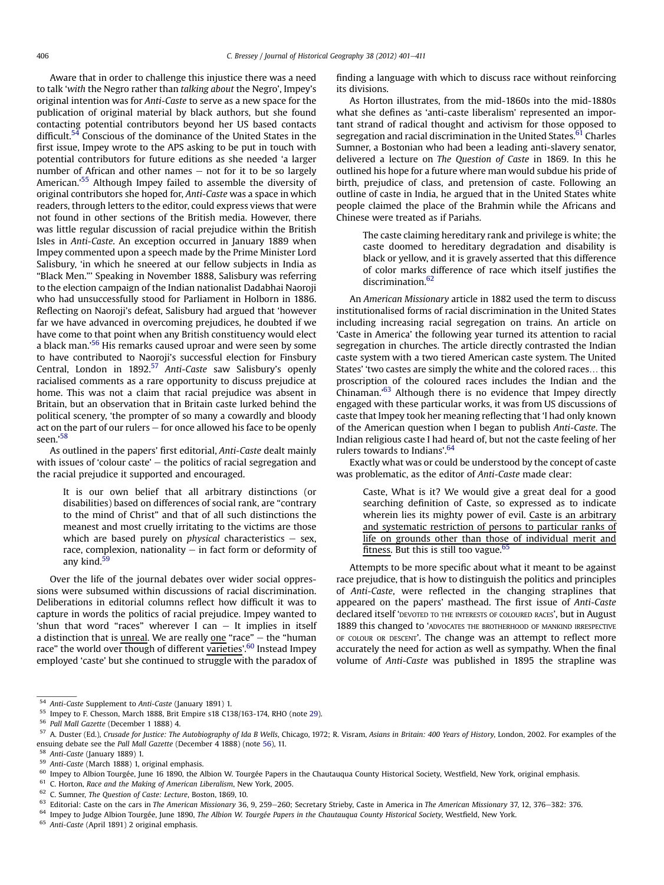<span id="page-5-0"></span>Aware that in order to challenge this injustice there was a need to talk 'with the Negro rather than talking about the Negro', Impey's original intention was for Anti-Caste to serve as a new space for the publication of original material by black authors, but she found contacting potential contributors beyond her US based contacts difficult.<sup>54</sup> Conscious of the dominance of the United States in the first issue, Impey wrote to the APS asking to be put in touch with potential contributors for future editions as she needed 'a larger number of African and other names  $-$  not for it to be so largely American.' <sup>55</sup> Although Impey failed to assemble the diversity of original contributors she hoped for, Anti-Caste was a space in which readers, through letters to the editor, could express views that were not found in other sections of the British media. However, there was little regular discussion of racial prejudice within the British Isles in Anti-Caste. An exception occurred in January 1889 when Impey commented upon a speech made by the Prime Minister Lord Salisbury, 'in which he sneered at our fellow subjects in India as "Black Men."' Speaking in November 1888, Salisbury was referring to the election campaign of the Indian nationalist Dadabhai Naoroji who had unsuccessfully stood for Parliament in Holborn in 1886. Reflecting on Naoroji's defeat, Salisbury had argued that 'however far we have advanced in overcoming prejudices, he doubted if we have come to that point when any British constituency would elect a black man.'<sup>56</sup> His remarks caused uproar and were seen by some to have contributed to Naoroji's successful election for Finsbury Central, London in 1892.<sup>57</sup> Anti-Caste saw Salisbury's openly racialised comments as a rare opportunity to discuss prejudice at home. This was not a claim that racial prejudice was absent in Britain, but an observation that in Britain caste lurked behind the political scenery, 'the prompter of so many a cowardly and bloody act on the part of our rulers  $-$  for once allowed his face to be openly seen.'<sup>58</sup>

As outlined in the papers' first editorial, Anti-Caste dealt mainly with issues of 'colour caste'  $-$  the politics of racial segregation and the racial prejudice it supported and encouraged.

It is our own belief that all arbitrary distinctions (or disabilities) based on differences of social rank, are "contrary to the mind of Christ" and that of all such distinctions the meanest and most cruelly irritating to the victims are those which are based purely on *physical* characteristics  $-$  sex, race, complexion, nationality  $-$  in fact form or deformity of any kind. $59$ 

Over the life of the journal debates over wider social oppressions were subsumed within discussions of racial discrimination. Deliberations in editorial columns reflect how difficult it was to capture in words the politics of racial prejudice. Impey wanted to 'shun that word "races" wherever I can  $-$  It implies in itself a distinction that is *unreal*. We are really one "race"  $-$  the "human race" the world over though of different varieties'.<sup>60</sup> Instead Impey employed 'caste' but she continued to struggle with the paradox of finding a language with which to discuss race without reinforcing its divisions.

As Horton illustrates, from the mid-1860s into the mid-1880s what she defines as 'anti-caste liberalism' represented an important strand of radical thought and activism for those opposed to segregation and racial discrimination in the United States.<sup>61</sup> Charles Sumner, a Bostonian who had been a leading anti-slavery senator, delivered a lecture on The Question of Caste in 1869. In this he outlined his hope for a future where man would subdue his pride of birth, prejudice of class, and pretension of caste. Following an outline of caste in India, he argued that in the United States white people claimed the place of the Brahmin while the Africans and Chinese were treated as if Pariahs.

The caste claiming hereditary rank and privilege is white; the caste doomed to hereditary degradation and disability is black or yellow, and it is gravely asserted that this difference of color marks difference of race which itself justifies the discrimination.<sup>62</sup>

An American Missionary article in 1882 used the term to discuss institutionalised forms of racial discrimination in the United States including increasing racial segregation on trains. An article on 'Caste in America' the following year turned its attention to racial segregation in churches. The article directly contrasted the Indian caste system with a two tiered American caste system. The United States' 'two castes are simply the white and the colored races... this proscription of the coloured races includes the Indian and the Chinaman.'<sup>63</sup> Although there is no evidence that Impey directly engaged with these particular works, it was from US discussions of caste that Impey took her meaning reflecting that 'I had only known of the American question when I began to publish Anti-Caste. The Indian religious caste I had heard of, but not the caste feeling of her rulers towards to Indians'. 64

Exactly what was or could be understood by the concept of caste was problematic, as the editor of Anti-Caste made clear:

Caste, What is it? We would give a great deal for a good searching definition of Caste, so expressed as to indicate wherein lies its mighty power of evil. Caste is an arbitrary and systematic restriction of persons to particular ranks of life on grounds other than those of individual merit and fitness. But this is still too vague.<sup>65</sup>

Attempts to be more specific about what it meant to be against race prejudice, that is how to distinguish the politics and principles of Anti-Caste, were reflected in the changing straplines that appeared on the papers' masthead. The first issue of Anti-Caste declared itself 'DEVOTED TO THE INTERESTS OF COLOURED RACES', but in August 1889 this changed to 'ADVOCATES THE BROTHERHOOD OF MANKIND IRRESPECTIVE OF COLOUR OR DESCENT'. The change was an attempt to reflect more accurately the need for action as well as sympathy. When the final volume of Anti-Caste was published in 1895 the strapline was

<sup>54</sup> Anti-Caste Supplement to Anti-Caste (January 1891) 1.

<sup>55</sup> Impey to F. Chesson, March 1888, Brit Empire s18 C138/163-174, RHO (note [29](#page-2-0)).

<sup>56</sup> Pall Mall Gazette (December 1 1888) 4.

<sup>57</sup> A. Duster (Ed.), Crusade for Justice: The Autobiography of Ida B Wells, Chicago, 1972; R. Visram, Asians in Britain: 400 Years of History, London, 2002. For examples of the ensuing debate see the Pall Mall Gazette (December 4 1888) (note 56), 11.

<sup>58</sup> Anti-Caste (January 1889) 1.

<sup>59</sup> Anti-Caste (March 1888) 1, original emphasis.

<sup>&</sup>lt;sup>60</sup> Impey to Albion Tourgée, June 16 1890, the Albion W. Tourgée Papers in the Chautauqua County Historical Society, Westfield, New York, original emphasis.

<sup>61</sup> C. Horton, Race and the Making of American Liberalism, New York, 2005.

<sup>62</sup> C. Sumner, The Question of Caste: Lecture, Boston, 1869, 10.

<sup>63</sup> Editorial: Caste on the cars in The American Missionary 36, 9, 259–260; Secretary Strieby, Caste in America in The American Missionary 37, 12, 376–382: 376.

<sup>&</sup>lt;sup>64</sup> Impey to Judge Albion Tourgée, June 1890, The Albion W. Tourgée Papers in the Chautauqua County Historical Society, Westfield, New York.

<sup>65</sup> Anti-Caste (April 1891) 2 original emphasis.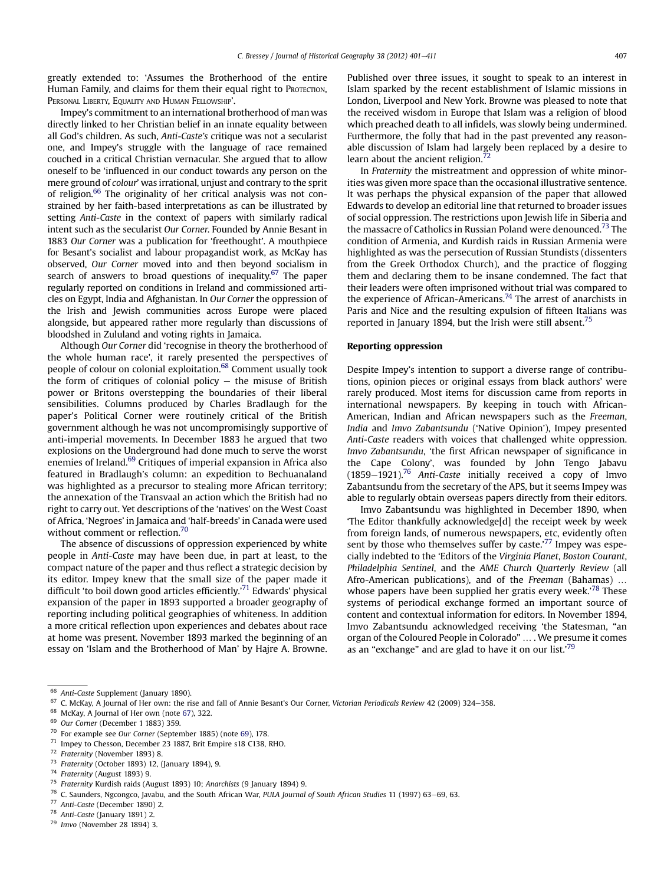greatly extended to: 'Assumes the Brotherhood of the entire Human Family, and claims for them their equal right to PROTECTION, PERSONAL LIBERTY, EQUALITY AND HUMAN FELLOWSHIP'.

Impey's commitment to an international brotherhood of man was directly linked to her Christian belief in an innate equality between all God's children. As such, Anti-Caste's critique was not a secularist one, and Impey's struggle with the language of race remained couched in a critical Christian vernacular. She argued that to allow oneself to be 'influenced in our conduct towards any person on the mere ground of colour' was irrational, unjust and contrary to the sprit of religion.<sup>66</sup> The originality of her critical analysis was not constrained by her faith-based interpretations as can be illustrated by setting Anti-Caste in the context of papers with similarly radical intent such as the secularist Our Corner. Founded by Annie Besant in 1883 Our Corner was a publication for 'freethought'. A mouthpiece for Besant's socialist and labour propagandist work, as McKay has observed, Our Corner moved into and then beyond socialism in search of answers to broad questions of inequality.<sup>67</sup> The paper regularly reported on conditions in Ireland and commissioned articles on Egypt, India and Afghanistan. In Our Corner the oppression of the Irish and Jewish communities across Europe were placed alongside, but appeared rather more regularly than discussions of bloodshed in Zululand and voting rights in Jamaica.

Although Our Corner did 'recognise in theory the brotherhood of the whole human race', it rarely presented the perspectives of people of colour on colonial exploitation.68 Comment usually took the form of critiques of colonial policy  $-$  the misuse of British power or Britons overstepping the boundaries of their liberal sensibilities. Columns produced by Charles Bradlaugh for the paper's Political Corner were routinely critical of the British government although he was not uncompromisingly supportive of anti-imperial movements. In December 1883 he argued that two explosions on the Underground had done much to serve the worst enemies of Ireland.<sup>69</sup> Critiques of imperial expansion in Africa also featured in Bradlaugh's column: an expedition to Bechuanaland was highlighted as a precursor to stealing more African territory; the annexation of the Transvaal an action which the British had no right to carry out. Yet descriptions of the 'natives' on the West Coast of Africa, 'Negroes' in Jamaica and 'half-breeds' in Canada were used without comment or reflection.<sup>70</sup>

The absence of discussions of oppression experienced by white people in Anti-Caste may have been due, in part at least, to the compact nature of the paper and thus reflect a strategic decision by its editor. Impey knew that the small size of the paper made it difficult 'to boil down good articles efficiently.' <sup>71</sup> Edwards' physical expansion of the paper in 1893 supported a broader geography of reporting including political geographies of whiteness. In addition a more critical reflection upon experiences and debates about race at home was present. November 1893 marked the beginning of an essay on 'Islam and the Brotherhood of Man' by Hajre A. Browne. Published over three issues, it sought to speak to an interest in Islam sparked by the recent establishment of Islamic missions in London, Liverpool and New York. Browne was pleased to note that the received wisdom in Europe that Islam was a religion of blood which preached death to all infidels, was slowly being undermined. Furthermore, the folly that had in the past prevented any reasonable discussion of Islam had largely been replaced by a desire to learn about the ancient religion. $<sup>7</sup>$ </sup>

In Fraternity the mistreatment and oppression of white minorities was given more space than the occasional illustrative sentence. It was perhaps the physical expansion of the paper that allowed Edwards to develop an editorial line that returned to broader issues of social oppression. The restrictions upon Jewish life in Siberia and the massacre of Catholics in Russian Poland were denounced.<sup>73</sup> The condition of Armenia, and Kurdish raids in Russian Armenia were highlighted as was the persecution of Russian Stundists (dissenters from the Greek Orthodox Church), and the practice of flogging them and declaring them to be insane condemned. The fact that their leaders were often imprisoned without trial was compared to the experience of African-Americans.<sup>74</sup> The arrest of anarchists in Paris and Nice and the resulting expulsion of fifteen Italians was reported in January 1894, but the Irish were still absent.<sup>75</sup>

#### Reporting oppression

Despite Impey's intention to support a diverse range of contributions, opinion pieces or original essays from black authors' were rarely produced. Most items for discussion came from reports in international newspapers. By keeping in touch with African-American, Indian and African newspapers such as the Freeman, India and Imvo Zabantsundu ('Native Opinion'), Impey presented Anti-Caste readers with voices that challenged white oppression. Imvo Zabantsundu, 'the first African newspaper of significance in the Cape Colony', was founded by John Tengo Jabavu  $(1859-1921).$ <sup>76</sup> Anti-Caste initially received a copy of Imvo Zabantsundu from the secretary of the APS, but it seems Impey was able to regularly obtain overseas papers directly from their editors.

Imvo Zabantsundu was highlighted in December 1890, when 'The Editor thankfully acknowledge[d] the receipt week by week from foreign lands, of numerous newspapers, etc, evidently often sent by those who themselves suffer by caste.' $^{77}$  Impey was especially indebted to the 'Editors of the Virginia Planet, Boston Courant, Philadelphia Sentinel, and the AME Church Quarterly Review (all Afro-American publications), and of the Freeman (Bahamas) ... whose papers have been supplied her gratis every week.'<sup>78</sup> These systems of periodical exchange formed an important source of content and contextual information for editors. In November 1894, Imvo Zabantsundu acknowledged receiving 'the Statesman, "an organ of the Coloured People in Colorado" . . We presume it comes as an "exchange" and are glad to have it on our list.'79

<sup>&</sup>lt;sup>66</sup> Anti-Caste Supplement (January 1890).

C. McKay, A Journal of Her own: the rise and fall of Annie Besant's Our Corner, Victorian Periodicals Review 42 (2009) 324-358.

 $^{68}$  McKay, A Journal of Her own (note 67), 322.

 $^{69}$  Our Corner (December 1 1883) 359.<br> $^{70}$  For example see Our Cerner (Septer)

For example see Our Corner (September 1885) (note 69), 178.

<sup>71</sup> Impey to Chesson, December 23 1887, Brit Empire s18 C138, RHO.

<sup>72</sup> Fraternity (November 1893) 8.

<sup>&</sup>lt;sup>73</sup> Fraternity (October 1893) 12, (January 1894), 9.<br><sup>74</sup> Eraternity (August 1893) 9.

Fraternity (August 1893) 9.

<sup>&</sup>lt;sup>75</sup> Fraternity Kurdish raids (August 1893) 10; Anarchists (9 January 1894) 9.<br> $\frac{76}{5}$  C Seunders Nassages, Jaupus and the Sauth African Man PULA Jaumal

<sup>&</sup>lt;sup>76</sup> C. Saunders, Ngcongco, Javabu, and the South African War, *PULA Journal of South African Studies* 11 (1997) 63–69, 63.<br><sup>77</sup> Anti Casta (December 1800) 2

Anti-Caste (December 1890) 2.

<sup>78</sup> Anti-Caste (January 1891) 2.

<sup>79</sup> Imvo (November 28 1894) 3.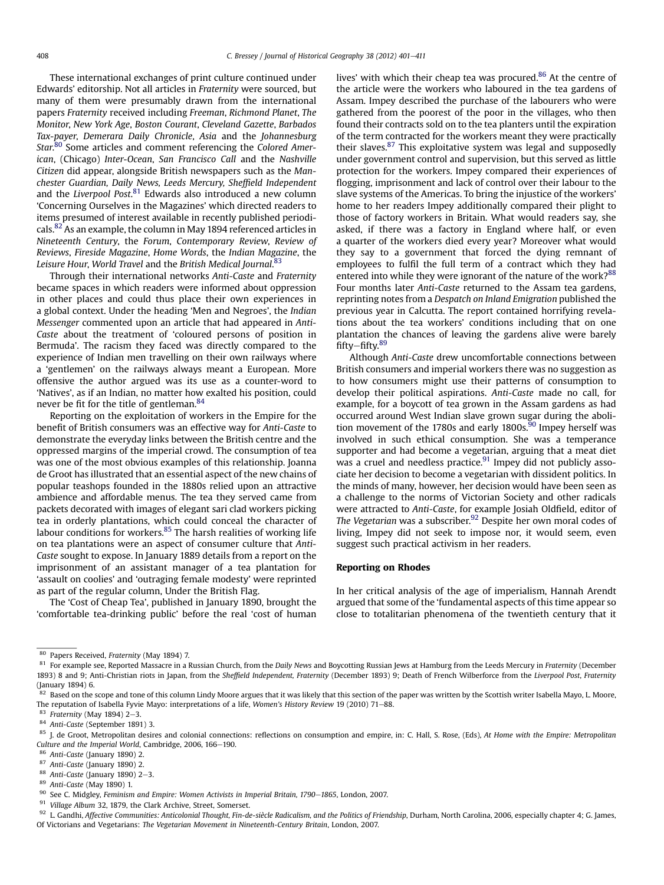<span id="page-7-0"></span>These international exchanges of print culture continued under Edwards' editorship. Not all articles in Fraternity were sourced, but many of them were presumably drawn from the international papers Fraternity received including Freeman, Richmond Planet, The Monitor, New York Age, Boston Courant, Cleveland Gazette, Barbados Tax-payer, Demerara Daily Chronicle, Asia and the Johannesburg Star.<sup>80</sup> Some articles and comment referencing the Colored American, (Chicago) Inter-Ocean, San Francisco Call and the Nashville Citizen did appear, alongside British newspapers such as the Manchester Guardian, Daily News, Leeds Mercury, Sheffield Independent and the Liverpool Post.<sup>81</sup> Edwards also introduced a new column 'Concerning Ourselves in the Magazines' which directed readers to items presumed of interest available in recently published periodicals.<sup>82</sup> As an example, the column in May 1894 referenced articles in Nineteenth Century, the Forum, Contemporary Review, Review of Reviews, Fireside Magazine, Home Words, the Indian Magazine, the Leisure Hour, World Travel and the British Medical Journal.<sup>83</sup>

Through their international networks Anti-Caste and Fraternity became spaces in which readers were informed about oppression in other places and could thus place their own experiences in a global context. Under the heading 'Men and Negroes', the Indian Messenger commented upon an article that had appeared in Anti-Caste about the treatment of 'coloured persons of position in Bermuda'. The racism they faced was directly compared to the experience of Indian men travelling on their own railways where a 'gentlemen' on the railways always meant a European. More offensive the author argued was its use as a counter-word to 'Natives', as if an Indian, no matter how exalted his position, could never be fit for the title of gentleman.<sup>84</sup>

Reporting on the exploitation of workers in the Empire for the benefit of British consumers was an effective way for Anti-Caste to demonstrate the everyday links between the British centre and the oppressed margins of the imperial crowd. The consumption of tea was one of the most obvious examples of this relationship. Joanna de Groot has illustrated that an essential aspect of the new chains of popular teashops founded in the 1880s relied upon an attractive ambience and affordable menus. The tea they served came from packets decorated with images of elegant sari clad workers picking tea in orderly plantations, which could conceal the character of labour conditions for workers. $85$  The harsh realities of working life on tea plantations were an aspect of consumer culture that Anti-Caste sought to expose. In January 1889 details from a report on the imprisonment of an assistant manager of a tea plantation for 'assault on coolies' and 'outraging female modesty' were reprinted as part of the regular column, Under the British Flag.

The 'Cost of Cheap Tea', published in January 1890, brought the 'comfortable tea-drinking public' before the real 'cost of human lives' with which their cheap tea was procured.<sup>86</sup> At the centre of the article were the workers who laboured in the tea gardens of Assam. Impey described the purchase of the labourers who were gathered from the poorest of the poor in the villages, who then found their contracts sold on to the tea planters until the expiration of the term contracted for the workers meant they were practically their slaves.<sup>87</sup> This exploitative system was legal and supposedly under government control and supervision, but this served as little protection for the workers. Impey compared their experiences of flogging, imprisonment and lack of control over their labour to the slave systems of the Americas. To bring the injustice of the workers' home to her readers Impey additionally compared their plight to those of factory workers in Britain. What would readers say, she asked, if there was a factory in England where half, or even a quarter of the workers died every year? Moreover what would they say to a government that forced the dying remnant of employees to fulfil the full term of a contract which they had entered into while they were ignorant of the nature of the work?<sup>88</sup> Four months later Anti-Caste returned to the Assam tea gardens, reprinting notes from a Despatch on Inland Emigration published the previous year in Calcutta. The report contained horrifying revelations about the tea workers' conditions including that on one plantation the chances of leaving the gardens alive were barely fifty-fifty.<sup>89</sup>

Although Anti-Caste drew uncomfortable connections between British consumers and imperial workers there was no suggestion as to how consumers might use their patterns of consumption to develop their political aspirations. Anti-Caste made no call, for example, for a boycott of tea grown in the Assam gardens as had occurred around West Indian slave grown sugar during the abolition movement of the 1780s and early 1800s. $90$  Impey herself was involved in such ethical consumption. She was a temperance supporter and had become a vegetarian, arguing that a meat diet was a cruel and needless practice. $91$  Impey did not publicly associate her decision to become a vegetarian with dissident politics. In the minds of many, however, her decision would have been seen as a challenge to the norms of Victorian Society and other radicals were attracted to Anti-Caste, for example Josiah Oldfield, editor of The Vegetarian was a subscriber. $92$  Despite her own moral codes of living, Impey did not seek to impose nor, it would seem, even suggest such practical activism in her readers.

#### Reporting on Rhodes

In her critical analysis of the age of imperialism, Hannah Arendt argued that some of the 'fundamental aspects of this time appear so close to totalitarian phenomena of the twentieth century that it

 $83$  Fraternity (May 1894) 2-3.

<sup>86</sup> Anti-Caste (January 1890) 2.

 $90$  See C. Midgley, Feminism and Empire: Women Activists in Imperial Britain, 1790-1865, London, 2007.

<sup>80</sup> Papers Received, Fraternity (May 1894) 7.

<sup>81</sup> For example see, Reported Massacre in a Russian Church, from the Daily News and Boycotting Russian Jews at Hamburg from the Leeds Mercury in Fraternity (December 1893) 8 and 9; Anti-Christian riots in Japan, from the Sheffield Independent, Fraternity (December 1893) 9; Death of French Wilberforce from the Liverpool Post, Fraternity (January 1894) 6.

 $82$  Based on the scope and tone of this column Lindy Moore argues that it was likely that this section of the paper was written by the Scottish writer Isabella Mayo, L. Moore, The reputation of Isabella Fyvie Mayo: interpretations of a life, Women's History Review 19 (2010) 71-88.

<sup>84</sup> Anti-Caste (September 1891) 3.

<sup>85</sup> J. de Groot, Metropolitan desires and colonial connections: reflections on consumption and empire, in: C. Hall, S. Rose, (Eds), At Home with the Empire: Metropolitan Culture and the Imperial World, Cambridge, 2006, 166-190.

<sup>87</sup> Anti-Caste (January 1890) 2.

 $88$  Anti-Caste (January 1890) 2-3.

<sup>89</sup> Anti-Caste (May 1890) 1.

<sup>91</sup> Village Album 32, 1879, the Clark Archive, Street, Somerset.

<sup>92</sup> L. Gandhi, Affective Communities: Anticolonial Thought, Fin-de-siècle Radicalism, and the Politics of Friendship, Durham, North Carolina, 2006, especially chapter 4; G. James, Of Victorians and Vegetarians: The Vegetarian Movement in Nineteenth-Century Britain, London, 2007.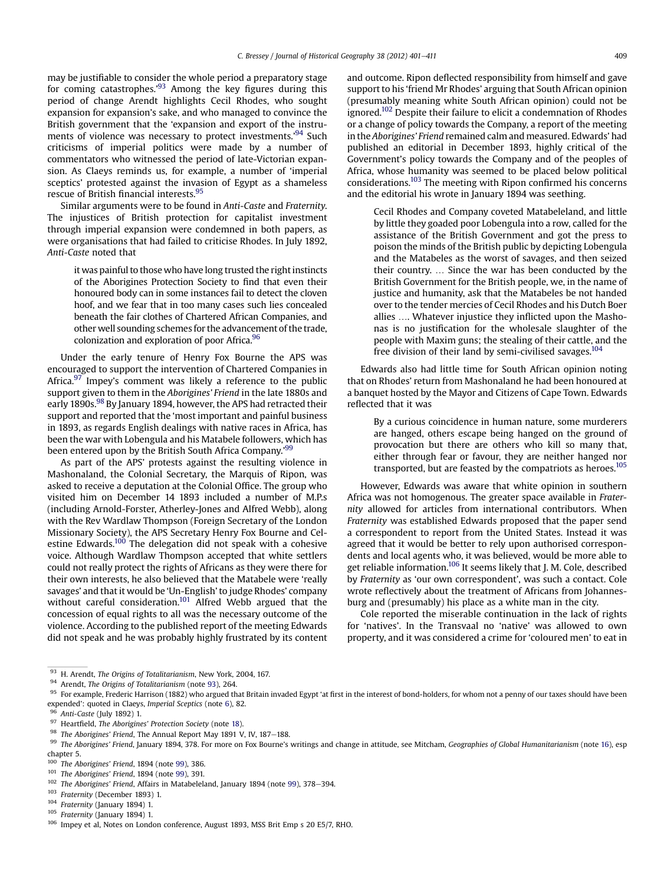may be justifiable to consider the whole period a preparatory stage for coming catastrophes.'<sup>93</sup> Among the key figures during this period of change Arendt highlights Cecil Rhodes, who sought expansion for expansion's sake, and who managed to convince the British government that the 'expansion and export of the instruments of violence was necessary to protect investments.'<sup>94</sup> Such criticisms of imperial politics were made by a number of commentators who witnessed the period of late-Victorian expansion. As Claeys reminds us, for example, a number of 'imperial sceptics' protested against the invasion of Egypt as a shameless rescue of British financial interests.95

Similar arguments were to be found in Anti-Caste and Fraternity. The injustices of British protection for capitalist investment through imperial expansion were condemned in both papers, as were organisations that had failed to criticise Rhodes. In July 1892, Anti-Caste noted that

it was painful to those who have long trusted the right instincts of the Aborigines Protection Society to find that even their honoured body can in some instances fail to detect the cloven hoof, and we fear that in too many cases such lies concealed beneath the fair clothes of Chartered African Companies, and other well sounding schemes for the advancement of the trade, colonization and exploration of poor Africa.<sup>96</sup>

Under the early tenure of Henry Fox Bourne the APS was encouraged to support the intervention of Chartered Companies in Africa. $97$  Impey's comment was likely a reference to the public support given to them in the Aborigines' Friend in the late 1880s and early 1890s.<sup>98</sup> By January 1894, however, the APS had retracted their support and reported that the 'most important and painful business in 1893, as regards English dealings with native races in Africa, has been the war with Lobengula and his Matabele followers, which has been entered upon by the British South Africa Company.'<sup>99</sup>

As part of the APS' protests against the resulting violence in Mashonaland, the Colonial Secretary, the Marquis of Ripon, was asked to receive a deputation at the Colonial Office. The group who visited him on December 14 1893 included a number of M.P.s (including Arnold-Forster, Atherley-Jones and Alfred Webb), along with the Rev Wardlaw Thompson (Foreign Secretary of the London Missionary Society), the APS Secretary Henry Fox Bourne and Celestine Edwards.<sup>100</sup> The delegation did not speak with a cohesive voice. Although Wardlaw Thompson accepted that white settlers could not really protect the rights of Africans as they were there for their own interests, he also believed that the Matabele were 'really savages' and that it would be 'Un-English'to judge Rhodes' company without careful consideration.<sup>101</sup> Alfred Webb argued that the concession of equal rights to all was the necessary outcome of the violence. According to the published report of the meeting Edwards did not speak and he was probably highly frustrated by its content and outcome. Ripon deflected responsibility from himself and gave support to his 'friend Mr Rhodes' arguing that South African opinion (presumably meaning white South African opinion) could not be ignored.<sup>102</sup> Despite their failure to elicit a condemnation of Rhodes or a change of policy towards the Company, a report of the meeting in the Aborigines' Friend remained calm and measured. Edwards' had published an editorial in December 1893, highly critical of the Government's policy towards the Company and of the peoples of Africa, whose humanity was seemed to be placed below political considerations.103 The meeting with Ripon confirmed his concerns and the editorial his wrote in January 1894 was seething.

Cecil Rhodes and Company coveted Matabeleland, and little by little they goaded poor Lobengula into a row, called for the assistance of the British Government and got the press to poison the minds of the British public by depicting Lobengula and the Matabeles as the worst of savages, and then seized their country. ... Since the war has been conducted by the British Government for the British people, we, in the name of justice and humanity, ask that the Matabeles be not handed over to the tender mercies of Cecil Rhodes and his Dutch Boer allies .... Whatever injustice they inflicted upon the Mashonas is no justification for the wholesale slaughter of the people with Maxim guns; the stealing of their cattle, and the free division of their land by semi-civilised savages.<sup>104</sup>

Edwards also had little time for South African opinion noting that on Rhodes' return from Mashonaland he had been honoured at a banquet hosted by the Mayor and Citizens of Cape Town. Edwards reflected that it was

By a curious coincidence in human nature, some murderers are hanged, others escape being hanged on the ground of provocation but there are others who kill so many that, either through fear or favour, they are neither hanged nor transported, but are feasted by the compatriots as heroes.<sup>105</sup>

However, Edwards was aware that white opinion in southern Africa was not homogenous. The greater space available in Fraternity allowed for articles from international contributors. When Fraternity was established Edwards proposed that the paper send a correspondent to report from the United States. Instead it was agreed that it would be better to rely upon authorised correspondents and local agents who, it was believed, would be more able to get reliable information.<sup>106</sup> It seems likely that J. M. Cole, described by Fraternity as 'our own correspondent', was such a contact. Cole wrote reflectively about the treatment of Africans from Johannesburg and (presumably) his place as a white man in the city.

Cole reported the miserable continuation in the lack of rights for 'natives'. In the Transvaal no 'native' was allowed to own property, and it was considered a crime for 'coloured men' to eat in

<sup>93</sup> H. Arendt, The Origins of Totalitarianism, New York, 2004, 167.

<sup>94</sup> Arendt, The Origins of Totalitarianism (note 93), 264.

<sup>&</sup>lt;sup>95</sup> For example, Frederic Harrison (1882) who argued that Britain invaded Egypt 'at first in the interest of bond-holders, for whom not a penny of our taxes should have been expended': quoted in Claeys, Imperial Sceptics (note [6\)](#page-1-0), 82.

 $\frac{96}{97}$  Anti-Caste (July 1892) 1.

 $^{97}$  Heartfield, *The Aborigines' Protection Society* (note [18\)](#page-1-0).<br> $^{98}$  *The Aborigines' Friend* The Appyrel Beneat May 1991 V.

<sup>&</sup>lt;sup>98</sup> The Aborigines' Friend, The Annual Report May 1891 V, IV, 187–188.<br><sup>99</sup> The Aborigines' Friend January 1904, 278. For more on Fox Bourne's

The Aborigines' Friend, January 1894, 378. For more on Fox Bourne's writings and change in attitude, see Mitcham, Geographies of Global Humanitarianism (note [16](#page-1-0)), esp chapter 5.

<sup>&</sup>lt;sup>100</sup> The Aborigines' Friend, 1894 (note 99), 386.<br><sup>101</sup> The Aborigines' Friend, 1894 (note 99), 391.

The Aborigines' Friend, 1894 (note 99), 391.

 $102$  The Aborigines' Friend, Affairs in Matabeleland, January 1894 (note 99), 378-394.

<sup>103</sup> Fraternity (December 1893) 1.

<sup>104</sup> Fraternity (January 1894) 1.

<sup>105</sup> Fraternity (January 1894) 1.

<sup>106</sup> Impey et al, Notes on London conference, August 1893, MSS Brit Emp s 20 E5/7, RHO.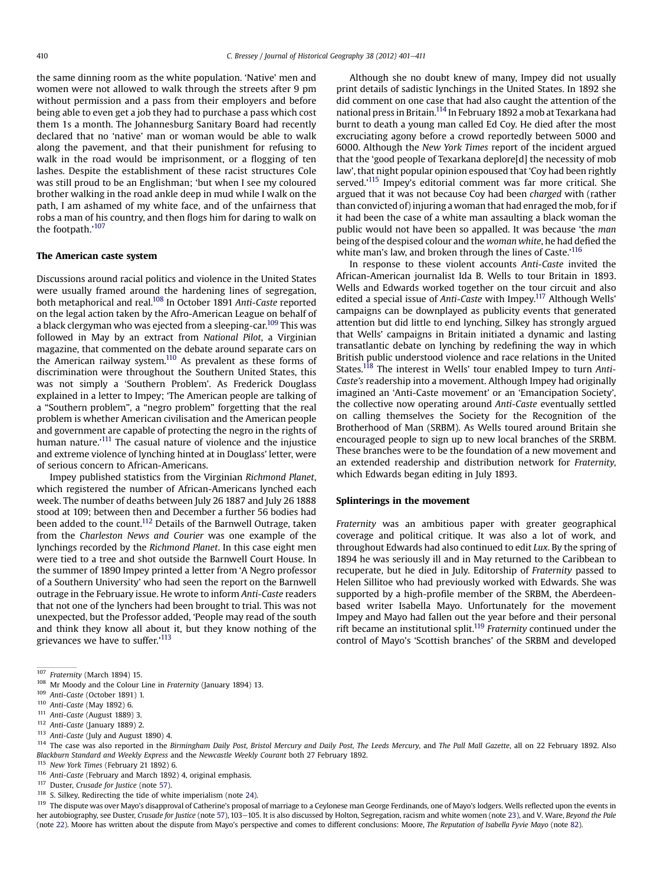the same dinning room as the white population. 'Native' men and women were not allowed to walk through the streets after 9 pm without permission and a pass from their employers and before being able to even get a job they had to purchase a pass which cost them 1s a month. The Johannesburg Sanitary Board had recently declared that no 'native' man or woman would be able to walk along the pavement, and that their punishment for refusing to walk in the road would be imprisonment, or a flogging of ten lashes. Despite the establishment of these racist structures Cole was still proud to be an Englishman; 'but when I see my coloured brother walking in the road ankle deep in mud while I walk on the path, I am ashamed of my white face, and of the unfairness that robs a man of his country, and then flogs him for daring to walk on the footpath.'<sup>107</sup>

# The American caste system

Discussions around racial politics and violence in the United States were usually framed around the hardening lines of segregation, both metaphorical and real.<sup>108</sup> In October 1891 Anti-Caste reported on the legal action taken by the Afro-American League on behalf of a black clergyman who was ejected from a sleeping-car.109 This was followed in May by an extract from National Pilot, a Virginian magazine, that commented on the debate around separate cars on the American railway system. $110$  As prevalent as these forms of discrimination were throughout the Southern United States, this was not simply a 'Southern Problem'. As Frederick Douglass explained in a letter to Impey; 'The American people are talking of a "Southern problem", a "negro problem" forgetting that the real problem is whether American civilisation and the American people and government are capable of protecting the negro in the rights of human nature.'<sup>111</sup> The casual nature of violence and the injustice and extreme violence of lynching hinted at in Douglass' letter, were of serious concern to African-Americans.

Impey published statistics from the Virginian Richmond Planet, which registered the number of African-Americans lynched each week. The number of deaths between July 26 1887 and July 26 1888 stood at 109; between then and December a further 56 bodies had been added to the count.<sup>112</sup> Details of the Barnwell Outrage, taken from the Charleston News and Courier was one example of the lynchings recorded by the Richmond Planet. In this case eight men were tied to a tree and shot outside the Barnwell Court House. In the summer of 1890 Impey printed a letter from 'A Negro professor of a Southern University' who had seen the report on the Barnwell outrage in the February issue. He wrote to inform Anti-Caste readers that not one of the lynchers had been brought to trial. This was not unexpected, but the Professor added, 'People may read of the south and think they know all about it, but they know nothing of the grievances we have to suffer.' 113

Although she no doubt knew of many, Impey did not usually print details of sadistic lynchings in the United States. In 1892 she did comment on one case that had also caught the attention of the national press in Britain.114 In February 1892 a mob at Texarkana had burnt to death a young man called Ed Coy. He died after the most excruciating agony before a crowd reportedly between 5000 and 6000. Although the New York Times report of the incident argued that the 'good people of Texarkana deplore[d] the necessity of mob law', that night popular opinion espoused that 'Coy had been rightly served.'<sup>115</sup> Impey's editorial comment was far more critical. She argued that it was not because Coy had been charged with (rather than convicted of) injuring a woman that had enraged the mob, for if it had been the case of a white man assaulting a black woman the public would not have been so appalled. It was because 'the man being of the despised colour and the woman white, he had defied the white man's law, and broken through the lines of Caste.'<sup>116</sup>

In response to these violent accounts Anti-Caste invited the African-American journalist Ida B. Wells to tour Britain in 1893. Wells and Edwards worked together on the tour circuit and also edited a special issue of Anti-Caste with Impey.<sup>117</sup> Although Wells' campaigns can be downplayed as publicity events that generated attention but did little to end lynching, Silkey has strongly argued that Wells' campaigns in Britain initiated a dynamic and lasting transatlantic debate on lynching by redefining the way in which British public understood violence and race relations in the United States.<sup>118</sup> The interest in Wells' tour enabled Impey to turn Anti-Caste's readership into a movement. Although Impey had originally imagined an 'Anti-Caste movement' or an 'Emancipation Society', the collective now operating around Anti-Caste eventually settled on calling themselves the Society for the Recognition of the Brotherhood of Man (SRBM). As Wells toured around Britain she encouraged people to sign up to new local branches of the SRBM. These branches were to be the foundation of a new movement and an extended readership and distribution network for Fraternity, which Edwards began editing in July 1893.

#### Splinterings in the movement

Fraternity was an ambitious paper with greater geographical coverage and political critique. It was also a lot of work, and throughout Edwards had also continued to edit Lux. By the spring of 1894 he was seriously ill and in May returned to the Caribbean to recuperate, but he died in July. Editorship of Fraternity passed to Helen Sillitoe who had previously worked with Edwards. She was supported by a high-profile member of the SRBM, the Aberdeenbased writer Isabella Mayo. Unfortunately for the movement Impey and Mayo had fallen out the year before and their personal rift became an institutional split.<sup>119</sup> Fraternity continued under the control of Mayo's 'Scottish branches' of the SRBM and developed

116 Anti-Caste (February and March 1892) 4, original emphasis.

<sup>118</sup> S. Silkey, Redirecting the tide of white imperialism (note [24\)](#page-2-0).

<sup>107</sup> Fraternity (March 1894) 15.

<sup>&</sup>lt;sup>108</sup> Mr Moody and the Colour Line in Fraternity (January 1894) 13.

<sup>109</sup> Anti-Caste (October 1891) 1.

<sup>110</sup> Anti-Caste (May 1892) 6.

<sup>111</sup> Anti-Caste (August 1889) 3.

<sup>112</sup> Anti-Caste (January 1889) 2.

<sup>113</sup> Anti-Caste (July and August 1890) 4.

<sup>&</sup>lt;sup>114</sup> The case was also reported in the Birmingham Daily Post, Bristol Mercury and Daily Post, The Leeds Mercury, and The Pall Mall Gazette, all on 22 February 1892. Also Blackburn Standard and Weekly Express and the Newcastle Weekly Courant both 27 February 1892.

<sup>115</sup> New York Times (February 21 1892) 6.

<sup>117</sup> Duster, Crusade for Justice (note [57](#page-5-0)).

<sup>&</sup>lt;sup>119</sup> The dispute was over Mayo's disapproval of Catherine's proposal of marriage to a Ceylonese man George Ferdinands, one of Mayo's lodgers. Wells reflected upon the events in her autobiography, see Duster, Crusade for Justice (note [57\)](#page-5-0), 103-105. It is also discussed by Holton, Segregation, racism and white women (note [23](#page-2-0)), and V. Ware, Beyond the Pale (note [22\)](#page-2-0). Moore has written about the dispute from Mayo's perspective and comes to different conclusions: Moore, The Reputation of Isabella Fyvie Mayo (note [82](#page-7-0)).